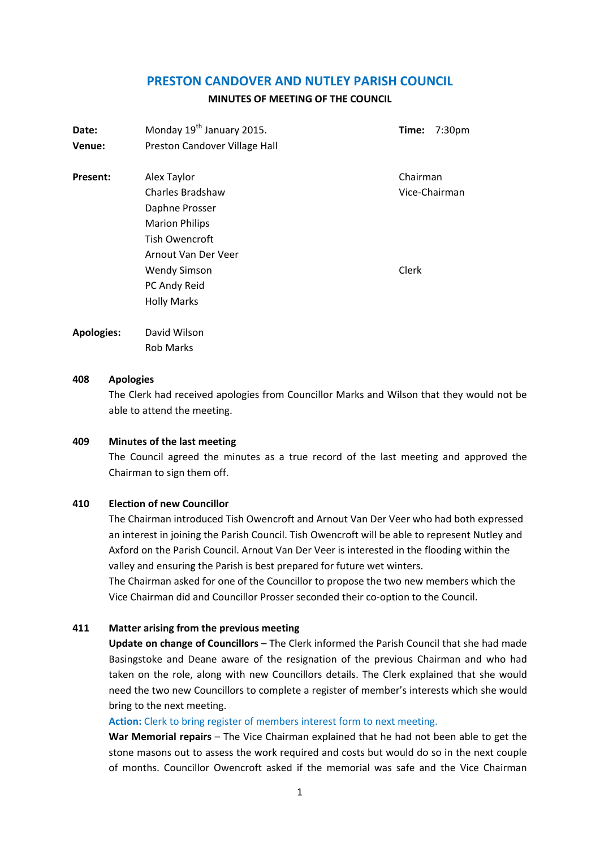## **PRESTON CANDOVER AND NUTLEY PARISH COUNCIL**

#### **MINUTES OF MEETING OF THE COUNCIL**

| 7:30 <sub>pm</sub> |  |
|--------------------|--|
|                    |  |
| Chairman           |  |
| Vice-Chairman      |  |
|                    |  |
|                    |  |
|                    |  |
|                    |  |
|                    |  |
|                    |  |

### **408 Apologies**

The Clerk had received apologies from Councillor Marks and Wilson that they would not be able to attend the meeting.

#### **409 Minutes of the last meeting**

The Council agreed the minutes as a true record of the last meeting and approved the Chairman to sign them off.

# **410 Election of new Councillor**

The Chairman introduced Tish Owencroft and Arnout Van Der Veer who had both expressed an interest in joining the Parish Council. Tish Owencroft will be able to represent Nutley and Axford on the Parish Council. Arnout Van Der Veer is interested in the flooding within the valley and ensuring the Parish is best prepared for future wet winters.

The Chairman asked for one of the Councillor to propose the two new members which the Vice Chairman did and Councillor Prosser seconded their co-option to the Council.

### **411 Matter arising from the previous meeting**

**Update on change of Councillors** – The Clerk informed the Parish Council that she had made Basingstoke and Deane aware of the resignation of the previous Chairman and who had taken on the role, along with new Councillors details. The Clerk explained that she would need the two new Councillors to complete a register of member's interests which she would bring to the next meeting.

#### Action: Clerk to bring register of members interest form to next meeting.

**War Memorial repairs** – The Vice Chairman explained that he had not been able to get the stone masons out to assess the work required and costs but would do so in the next couple of months. Councillor Owencroft asked if the memorial was safe and the Vice Chairman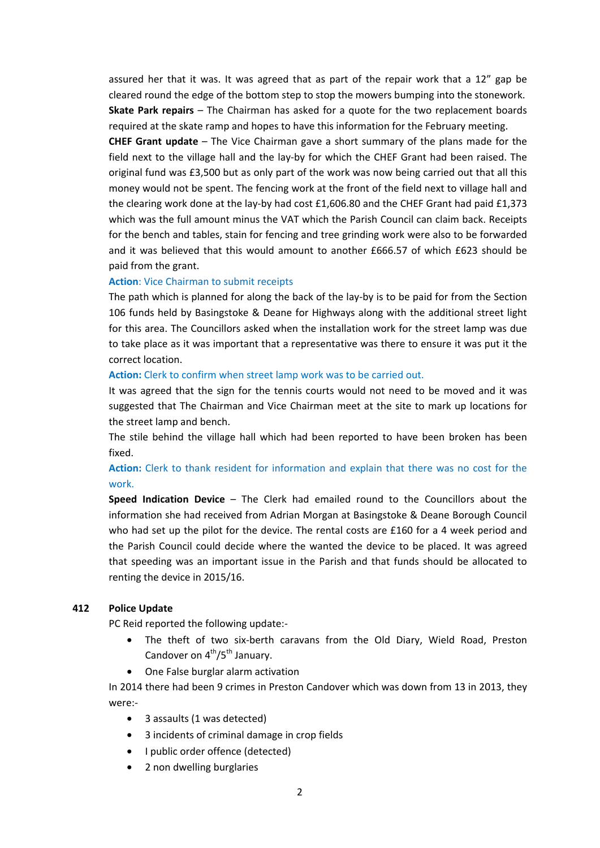assured her that it was. It was agreed that as part of the repair work that a 12" gap be cleared round the edge of the bottom step to stop the mowers bumping into the stonework. **Skate Park repairs** – The Chairman has asked for a quote for the two replacement boards required at the skate ramp and hopes to have this information for the February meeting.

**CHEF Grant update** – The Vice Chairman gave a short summary of the plans made for the field next to the village hall and the lay-by for which the CHEF Grant had been raised. The original fund was £3,500 but as only part of the work was now being carried out that all this money would not be spent. The fencing work at the front of the field next to village hall and the clearing work done at the lay-by had cost £1,606.80 and the CHEF Grant had paid £1,373 which was the full amount minus the VAT which the Parish Council can claim back. Receipts for the bench and tables, stain for fencing and tree grinding work were also to be forwarded and it was believed that this would amount to another £666.57 of which £623 should be paid from the grant.

#### **Action**: Vice Chairman to submit receipts

The path which is planned for along the back of the lay-by is to be paid for from the Section 106 funds held by Basingstoke & Deane for Highways along with the additional street light for this area. The Councillors asked when the installation work for the street lamp was due to take place as it was important that a representative was there to ensure it was put it the correct location.

### **Action:** Clerk to confirm when street lamp work was to be carried out.

It was agreed that the sign for the tennis courts would not need to be moved and it was suggested that The Chairman and Vice Chairman meet at the site to mark up locations for the street lamp and bench.

The stile behind the village hall which had been reported to have been broken has been fixed.

# **Action:** Clerk to thank resident for information and explain that there was no cost for the work.

**Speed Indication Device** – The Clerk had emailed round to the Councillors about the information she had received from Adrian Morgan at Basingstoke & Deane Borough Council who had set up the pilot for the device. The rental costs are £160 for a 4 week period and the Parish Council could decide where the wanted the device to be placed. It was agreed that speeding was an important issue in the Parish and that funds should be allocated to renting the device in 2015/16.

### **412 Police Update**

PC Reid reported the following update:-

- The theft of two six-berth caravans from the Old Diary, Wield Road, Preston Candover on  $4<sup>th</sup>/5<sup>th</sup>$  January.
- One False burglar alarm activation

In 2014 there had been 9 crimes in Preston Candover which was down from 13 in 2013, they were:-

- 3 assaults (1 was detected)
- 3 incidents of criminal damage in crop fields
- I public order offence (detected)
- 2 non dwelling burglaries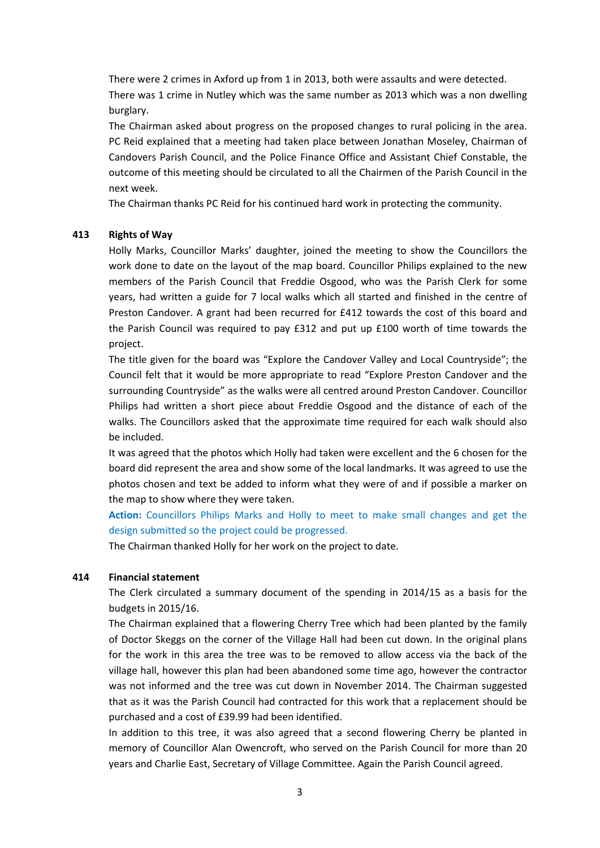There were 2 crimes in Axford up from 1 in 2013, both were assaults and were detected. There was 1 crime in Nutley which was the same number as 2013 which was a non dwelling burglary.

The Chairman asked about progress on the proposed changes to rural policing in the area. PC Reid explained that a meeting had taken place between Jonathan Moseley, Chairman of Candovers Parish Council, and the Police Finance Office and Assistant Chief Constable, the outcome of this meeting should be circulated to all the Chairmen of the Parish Council in the next week.

The Chairman thanks PC Reid for his continued hard work in protecting the community.

### **413 Rights of Way**

Holly Marks, Councillor Marks' daughter, joined the meeting to show the Councillors the work done to date on the layout of the map board. Councillor Philips explained to the new members of the Parish Council that Freddie Osgood, who was the Parish Clerk for some years, had written a guide for 7 local walks which all started and finished in the centre of Preston Candover. A grant had been recurred for £412 towards the cost of this board and the Parish Council was required to pay £312 and put up £100 worth of time towards the project.

The title given for the board was "Explore the Candover Valley and Local Countryside"; the Council felt that it would be more appropriate to read "Explore Preston Candover and the surrounding Countryside" as the walks were all centred around Preston Candover. Councillor Philips had written a short piece about Freddie Osgood and the distance of each of the walks. The Councillors asked that the approximate time required for each walk should also be included.

It was agreed that the photos which Holly had taken were excellent and the 6 chosen for the board did represent the area and show some of the local landmarks. It was agreed to use the photos chosen and text be added to inform what they were of and if possible a marker on the map to show where they were taken.

**Action:** Councillors Philips Marks and Holly to meet to make small changes and get the design submitted so the project could be progressed.

The Chairman thanked Holly for her work on the project to date.

#### **414 Financial statement**

The Clerk circulated a summary document of the spending in 2014/15 as a basis for the budgets in 2015/16.

The Chairman explained that a flowering Cherry Tree which had been planted by the family of Doctor Skeggs on the corner of the Village Hall had been cut down. In the original plans for the work in this area the tree was to be removed to allow access via the back of the village hall, however this plan had been abandoned some time ago, however the contractor was not informed and the tree was cut down in November 2014. The Chairman suggested that as it was the Parish Council had contracted for this work that a replacement should be purchased and a cost of £39.99 had been identified.

In addition to this tree, it was also agreed that a second flowering Cherry be planted in memory of Councillor Alan Owencroft, who served on the Parish Council for more than 20 years and Charlie East, Secretary of Village Committee. Again the Parish Council agreed.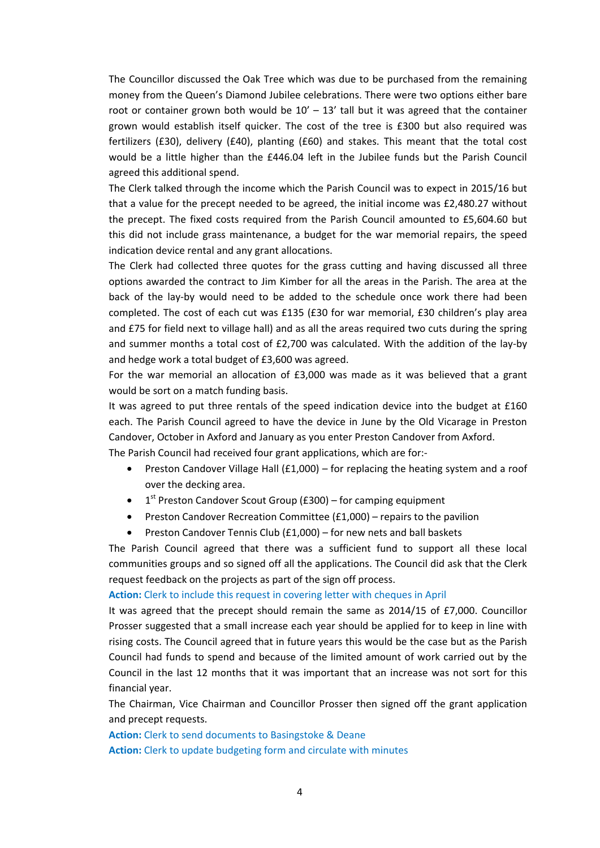The Councillor discussed the Oak Tree which was due to be purchased from the remaining money from the Queen's Diamond Jubilee celebrations. There were two options either bare root or container grown both would be  $10' - 13'$  tall but it was agreed that the container grown would establish itself quicker. The cost of the tree is £300 but also required was fertilizers (£30), delivery (£40), planting (£60) and stakes. This meant that the total cost would be a little higher than the £446.04 left in the Jubilee funds but the Parish Council agreed this additional spend.

The Clerk talked through the income which the Parish Council was to expect in 2015/16 but that a value for the precept needed to be agreed, the initial income was £2,480.27 without the precept. The fixed costs required from the Parish Council amounted to £5,604.60 but this did not include grass maintenance, a budget for the war memorial repairs, the speed indication device rental and any grant allocations.

The Clerk had collected three quotes for the grass cutting and having discussed all three options awarded the contract to Jim Kimber for all the areas in the Parish. The area at the back of the lay-by would need to be added to the schedule once work there had been completed. The cost of each cut was £135 (£30 for war memorial, £30 children's play area and £75 for field next to village hall) and as all the areas required two cuts during the spring and summer months a total cost of £2,700 was calculated. With the addition of the lay-by and hedge work a total budget of £3,600 was agreed.

For the war memorial an allocation of £3,000 was made as it was believed that a grant would be sort on a match funding basis.

It was agreed to put three rentals of the speed indication device into the budget at £160 each. The Parish Council agreed to have the device in June by the Old Vicarage in Preston Candover, October in Axford and January as you enter Preston Candover from Axford.

The Parish Council had received four grant applications, which are for:-

- Preston Candover Village Hall  $(f1,000)$  for replacing the heating system and a roof over the decking area.
- $1<sup>st</sup>$  Preston Candover Scout Group (£300) for camping equipment
- Preston Candover Recreation Committee (£1,000) repairs to the pavilion
- Preston Candover Tennis Club (£1,000) for new nets and ball baskets

The Parish Council agreed that there was a sufficient fund to support all these local communities groups and so signed off all the applications. The Council did ask that the Clerk request feedback on the projects as part of the sign off process.

#### **Action:** Clerk to include this request in covering letter with cheques in April

It was agreed that the precept should remain the same as 2014/15 of £7,000. Councillor Prosser suggested that a small increase each year should be applied for to keep in line with rising costs. The Council agreed that in future years this would be the case but as the Parish Council had funds to spend and because of the limited amount of work carried out by the Council in the last 12 months that it was important that an increase was not sort for this financial year.

The Chairman, Vice Chairman and Councillor Prosser then signed off the grant application and precept requests.

**Action:** Clerk to send documents to Basingstoke & Deane

**Action:** Clerk to update budgeting form and circulate with minutes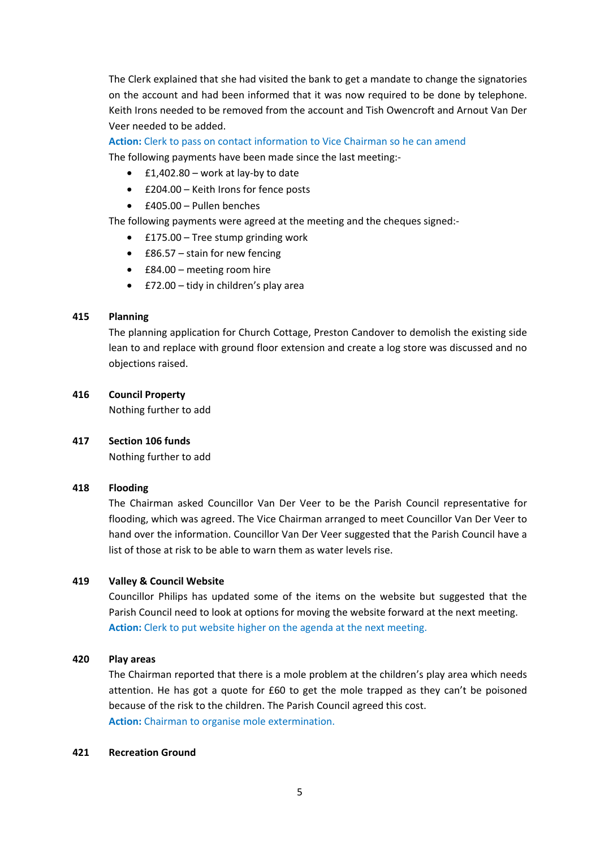The Clerk explained that she had visited the bank to get a mandate to change the signatories on the account and had been informed that it was now required to be done by telephone. Keith Irons needed to be removed from the account and Tish Owencroft and Arnout Van Der Veer needed to be added.

**Action:** Clerk to pass on contact information to Vice Chairman so he can amend

The following payments have been made since the last meeting:-

- £1,402.80 work at lay-by to date
- £204.00 Keith Irons for fence posts
- £405.00 Pullen benches

The following payments were agreed at the meeting and the cheques signed:-

- £175.00 Tree stump grinding work
- £86.57 stain for new fencing
- £84.00 meeting room hire
- £72.00 tidy in children's play area

### **415 Planning**

The planning application for Church Cottage, Preston Candover to demolish the existing side lean to and replace with ground floor extension and create a log store was discussed and no objections raised.

### **416 Council Property**

Nothing further to add

### **417 Section 106 funds**

Nothing further to add

#### **418 Flooding**

The Chairman asked Councillor Van Der Veer to be the Parish Council representative for flooding, which was agreed. The Vice Chairman arranged to meet Councillor Van Der Veer to hand over the information. Councillor Van Der Veer suggested that the Parish Council have a list of those at risk to be able to warn them as water levels rise.

### **419 Valley & Council Website**

Councillor Philips has updated some of the items on the website but suggested that the Parish Council need to look at options for moving the website forward at the next meeting. **Action:** Clerk to put website higher on the agenda at the next meeting.

#### **420 Play areas**

The Chairman reported that there is a mole problem at the children's play area which needs attention. He has got a quote for £60 to get the mole trapped as they can't be poisoned because of the risk to the children. The Parish Council agreed this cost. **Action:** Chairman to organise mole extermination.

#### **421 Recreation Ground**